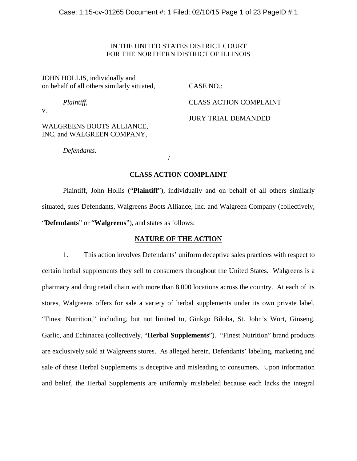## IN THE UNITED STATES DISTRICT COURT FOR THE NORTHERN DISTRICT OF ILLINOIS

JOHN HOLLIS, individually and on behalf of all others similarly situated, CASE NO.:

*Plaintiff*, CLASS ACTION COMPLAINT

v.

WALGREENS BOOTS ALLIANCE, INC. and WALGREEN COMPANY,

JURY TRIAL DEMANDED

*Defendants.* 

# /

# **CLASS ACTION COMPLAINT**

 Plaintiff, John Hollis ("**Plaintiff**"), individually and on behalf of all others similarly situated, sues Defendants, Walgreens Boots Alliance, Inc. and Walgreen Company (collectively, "**Defendants**" or "**Walgreens**"), and states as follows:

# **NATURE OF THE ACTION**

1. This action involves Defendants' uniform deceptive sales practices with respect to certain herbal supplements they sell to consumers throughout the United States. Walgreens is a pharmacy and drug retail chain with more than 8,000 locations across the country. At each of its stores, Walgreens offers for sale a variety of herbal supplements under its own private label, "Finest Nutrition," including, but not limited to, Ginkgo Biloba, St. John's Wort, Ginseng, Garlic, and Echinacea (collectively, "**Herbal Supplements**"). "Finest Nutrition" brand products are exclusively sold at Walgreens stores. As alleged herein, Defendants' labeling, marketing and sale of these Herbal Supplements is deceptive and misleading to consumers. Upon information and belief, the Herbal Supplements are uniformly mislabeled because each lacks the integral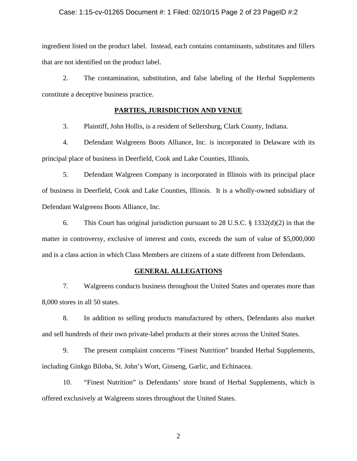## Case: 1:15-cv-01265 Document #: 1 Filed: 02/10/15 Page 2 of 23 PageID #:2

ingredient listed on the product label. Instead, each contains contaminants, substitutes and fillers that are not identified on the product label.

2. The contamination, substitution, and false labeling of the Herbal Supplements constitute a deceptive business practice.

## **PARTIES, JURISDICTION AND VENUE**

3. Plaintiff, John Hollis, is a resident of Sellersburg, Clark County, Indiana.

4. Defendant Walgreens Boots Alliance, Inc. is incorporated in Delaware with its principal place of business in Deerfield, Cook and Lake Counties, Illinois.

5. Defendant Walgreen Company is incorporated in Illinois with its principal place of business in Deerfield, Cook and Lake Counties, Illinois. It is a wholly-owned subsidiary of Defendant Walgreens Boots Alliance, Inc.

6. This Court has original jurisdiction pursuant to 28 U.S.C. § 1332(d)(2) in that the matter in controversy, exclusive of interest and costs, exceeds the sum of value of \$5,000,000 and is a class action in which Class Members are citizens of a state different from Defendants.

## **GENERAL ALLEGATIONS**

7. Walgreens conducts business throughout the United States and operates more than 8,000 stores in all 50 states.

8. In addition to selling products manufactured by others, Defendants also market and sell hundreds of their own private-label products at their stores across the United States.

9. The present complaint concerns "Finest Nutrition" branded Herbal Supplements, including Ginkgo Biloba, St. John's Wort, Ginseng, Garlic, and Echinacea.

10. "Finest Nutrition" is Defendants' store brand of Herbal Supplements, which is offered exclusively at Walgreens stores throughout the United States.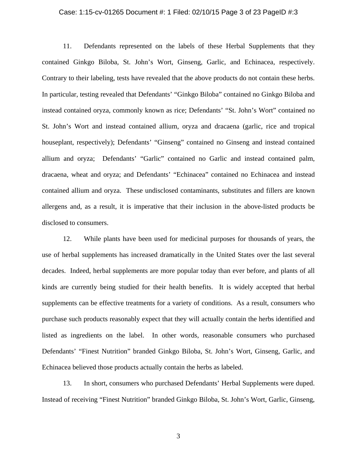### Case: 1:15-cv-01265 Document #: 1 Filed: 02/10/15 Page 3 of 23 PageID #:3

11. Defendants represented on the labels of these Herbal Supplements that they contained Ginkgo Biloba, St. John's Wort, Ginseng, Garlic, and Echinacea, respectively. Contrary to their labeling, tests have revealed that the above products do not contain these herbs. In particular, testing revealed that Defendants' "Ginkgo Biloba" contained no Ginkgo Biloba and instead contained oryza, commonly known as rice; Defendants' "St. John's Wort" contained no St. John's Wort and instead contained allium, oryza and dracaena (garlic, rice and tropical houseplant, respectively); Defendants' "Ginseng" contained no Ginseng and instead contained allium and oryza; Defendants' "Garlic" contained no Garlic and instead contained palm, dracaena, wheat and oryza; and Defendants' "Echinacea" contained no Echinacea and instead contained allium and oryza. These undisclosed contaminants, substitutes and fillers are known allergens and, as a result, it is imperative that their inclusion in the above-listed products be disclosed to consumers.

12. While plants have been used for medicinal purposes for thousands of years, the use of herbal supplements has increased dramatically in the United States over the last several decades. Indeed, herbal supplements are more popular today than ever before, and plants of all kinds are currently being studied for their health benefits. It is widely accepted that herbal supplements can be effective treatments for a variety of conditions. As a result, consumers who purchase such products reasonably expect that they will actually contain the herbs identified and listed as ingredients on the label. In other words, reasonable consumers who purchased Defendants' "Finest Nutrition" branded Ginkgo Biloba, St. John's Wort, Ginseng, Garlic, and Echinacea believed those products actually contain the herbs as labeled.

13. In short, consumers who purchased Defendants' Herbal Supplements were duped. Instead of receiving "Finest Nutrition" branded Ginkgo Biloba, St. John's Wort, Garlic, Ginseng,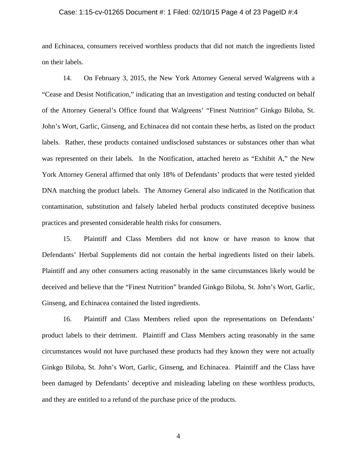## Case: 1:15-cv-01265 Document #: 1 Filed: 02/10/15 Page 4 of 23 PageID #:4

and Echinacea, consumers received worthless products that did not match the ingredients listed on their labels.

14. On February 3, 2015, the New York Attorney General served Walgreens with a "Cease and Desist Notification," indicating that an investigation and testing conducted on behalf of the Attorney General's Office found that Walgreens' "Finest Nutrition" Ginkgo Biloba, St. John's Wort, Garlic, Ginseng, and Echinacea did not contain these herbs, as listed on the product labels. Rather, these products contained undisclosed substances or substances other than what was represented on their labels. In the Notification, attached hereto as "Exhibit A," the New York Attorney General affirmed that only 18% of Defendants' products that were tested yielded DNA matching the product labels. The Attorney General also indicated in the Notification that contamination, substitution and falsely labeled herbal products constituted deceptive business practices and presented considerable health risks for consumers.

15. Plaintiff and Class Members did not know or have reason to know that Defendants' Herbal Supplements did not contain the herbal ingredients listed on their labels. Plaintiff and any other consumers acting reasonably in the same circumstances likely would be deceived and believe that the "Finest Nutrition" branded Ginkgo Biloba, St. John's Wort, Garlic, Ginseng, and Echinacea contained the listed ingredients.

16. Plaintiff and Class Members relied upon the representations on Defendants' product labels to their detriment. Plaintiff and Class Members acting reasonably in the same circumstances would not have purchased these products had they known they were not actually Ginkgo Biloba, St. John's Wort, Garlic, Ginseng, and Echinacea. Plaintiff and the Class have been damaged by Defendants' deceptive and misleading labeling on these worthless products, and they are entitled to a refund of the purchase price of the products.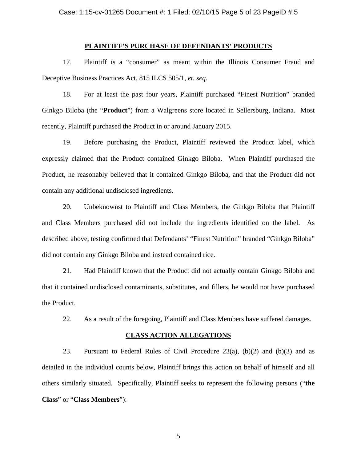## **PLAINTIFF'S PURCHASE OF DEFENDANTS' PRODUCTS**

17. Plaintiff is a "consumer" as meant within the Illinois Consumer Fraud and Deceptive Business Practices Act, 815 ILCS 505/1, *et. seq.*

18. For at least the past four years, Plaintiff purchased "Finest Nutrition" branded Ginkgo Biloba (the "**Product**") from a Walgreens store located in Sellersburg, Indiana. Most recently, Plaintiff purchased the Product in or around January 2015.

19. Before purchasing the Product, Plaintiff reviewed the Product label, which expressly claimed that the Product contained Ginkgo Biloba. When Plaintiff purchased the Product, he reasonably believed that it contained Ginkgo Biloba, and that the Product did not contain any additional undisclosed ingredients.

20. Unbeknownst to Plaintiff and Class Members, the Ginkgo Biloba that Plaintiff and Class Members purchased did not include the ingredients identified on the label. As described above, testing confirmed that Defendants' "Finest Nutrition" branded "Ginkgo Biloba" did not contain any Ginkgo Biloba and instead contained rice.

21. Had Plaintiff known that the Product did not actually contain Ginkgo Biloba and that it contained undisclosed contaminants, substitutes, and fillers, he would not have purchased the Product.

22. As a result of the foregoing, Plaintiff and Class Members have suffered damages.

#### **CLASS ACTION ALLEGATIONS**

23. Pursuant to Federal Rules of Civil Procedure 23(a), (b)(2) and (b)(3) and as detailed in the individual counts below, Plaintiff brings this action on behalf of himself and all others similarly situated. Specifically, Plaintiff seeks to represent the following persons ("**the Class**" or "**Class Members**"):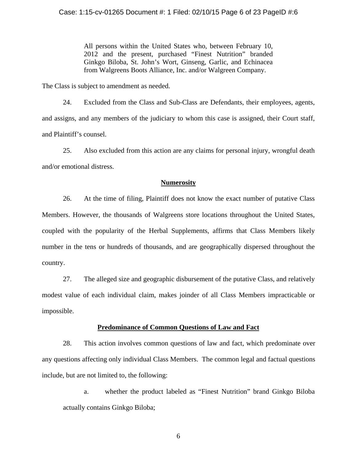All persons within the United States who, between February 10, 2012 and the present, purchased "Finest Nutrition" branded Ginkgo Biloba, St. John's Wort, Ginseng, Garlic, and Echinacea from Walgreens Boots Alliance, Inc. and/or Walgreen Company.

The Class is subject to amendment as needed.

24. Excluded from the Class and Sub-Class are Defendants, their employees, agents, and assigns, and any members of the judiciary to whom this case is assigned, their Court staff, and Plaintiff's counsel.

25. Also excluded from this action are any claims for personal injury, wrongful death and/or emotional distress.

## **Numerosity**

26. At the time of filing, Plaintiff does not know the exact number of putative Class Members. However, the thousands of Walgreens store locations throughout the United States, coupled with the popularity of the Herbal Supplements, affirms that Class Members likely number in the tens or hundreds of thousands, and are geographically dispersed throughout the country.

27. The alleged size and geographic disbursement of the putative Class, and relatively modest value of each individual claim, makes joinder of all Class Members impracticable or impossible.

## **Predominance of Common Questions of Law and Fact**

28. This action involves common questions of law and fact, which predominate over any questions affecting only individual Class Members. The common legal and factual questions include, but are not limited to, the following:

a. whether the product labeled as "Finest Nutrition" brand Ginkgo Biloba actually contains Ginkgo Biloba;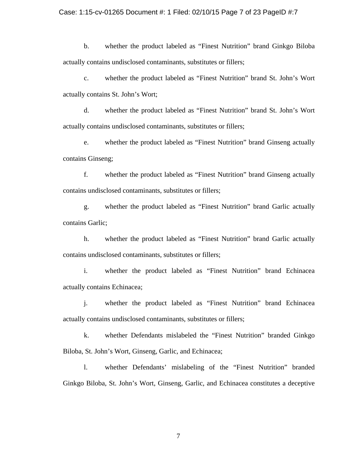## Case: 1:15-cv-01265 Document #: 1 Filed: 02/10/15 Page 7 of 23 PageID #:7

b. whether the product labeled as "Finest Nutrition" brand Ginkgo Biloba actually contains undisclosed contaminants, substitutes or fillers;

c. whether the product labeled as "Finest Nutrition" brand St. John's Wort actually contains St. John's Wort;

d. whether the product labeled as "Finest Nutrition" brand St. John's Wort actually contains undisclosed contaminants, substitutes or fillers;

e. whether the product labeled as "Finest Nutrition" brand Ginseng actually contains Ginseng;

f. whether the product labeled as "Finest Nutrition" brand Ginseng actually contains undisclosed contaminants, substitutes or fillers;

g. whether the product labeled as "Finest Nutrition" brand Garlic actually contains Garlic;

h. whether the product labeled as "Finest Nutrition" brand Garlic actually contains undisclosed contaminants, substitutes or fillers;

i. whether the product labeled as "Finest Nutrition" brand Echinacea actually contains Echinacea;

j. whether the product labeled as "Finest Nutrition" brand Echinacea actually contains undisclosed contaminants, substitutes or fillers;

k. whether Defendants mislabeled the "Finest Nutrition" branded Ginkgo Biloba, St. John's Wort, Ginseng, Garlic, and Echinacea;

l. whether Defendants' mislabeling of the "Finest Nutrition" branded Ginkgo Biloba, St. John's Wort, Ginseng, Garlic, and Echinacea constitutes a deceptive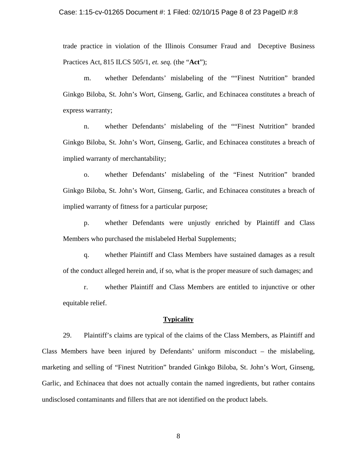### Case: 1:15-cv-01265 Document #: 1 Filed: 02/10/15 Page 8 of 23 PageID #:8

trade practice in violation of the Illinois Consumer Fraud and Deceptive Business Practices Act, 815 ILCS 505/1, *et. seq.* (the "**Act**");

m. whether Defendants' mislabeling of the ""Finest Nutrition" branded Ginkgo Biloba, St. John's Wort, Ginseng, Garlic, and Echinacea constitutes a breach of express warranty;

n. whether Defendants' mislabeling of the ""Finest Nutrition" branded Ginkgo Biloba, St. John's Wort, Ginseng, Garlic, and Echinacea constitutes a breach of implied warranty of merchantability;

o. whether Defendants' mislabeling of the "Finest Nutrition" branded Ginkgo Biloba, St. John's Wort, Ginseng, Garlic, and Echinacea constitutes a breach of implied warranty of fitness for a particular purpose;

p. whether Defendants were unjustly enriched by Plaintiff and Class Members who purchased the mislabeled Herbal Supplements;

q. whether Plaintiff and Class Members have sustained damages as a result of the conduct alleged herein and, if so, what is the proper measure of such damages; and

r. whether Plaintiff and Class Members are entitled to injunctive or other equitable relief.

### **Typicality**

29. Plaintiff's claims are typical of the claims of the Class Members, as Plaintiff and Class Members have been injured by Defendants' uniform misconduct – the mislabeling, marketing and selling of "Finest Nutrition" branded Ginkgo Biloba, St. John's Wort, Ginseng, Garlic, and Echinacea that does not actually contain the named ingredients, but rather contains undisclosed contaminants and fillers that are not identified on the product labels.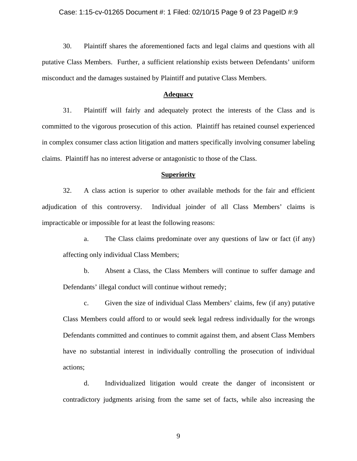## Case: 1:15-cv-01265 Document #: 1 Filed: 02/10/15 Page 9 of 23 PageID #:9

30. Plaintiff shares the aforementioned facts and legal claims and questions with all putative Class Members. Further, a sufficient relationship exists between Defendants' uniform misconduct and the damages sustained by Plaintiff and putative Class Members.

### **Adequacy**

31. Plaintiff will fairly and adequately protect the interests of the Class and is committed to the vigorous prosecution of this action. Plaintiff has retained counsel experienced in complex consumer class action litigation and matters specifically involving consumer labeling claims. Plaintiff has no interest adverse or antagonistic to those of the Class.

### **Superiority**

32. A class action is superior to other available methods for the fair and efficient adjudication of this controversy. Individual joinder of all Class Members' claims is impracticable or impossible for at least the following reasons:

- a. The Class claims predominate over any questions of law or fact (if any) affecting only individual Class Members;
- b. Absent a Class, the Class Members will continue to suffer damage and Defendants' illegal conduct will continue without remedy;
- c. Given the size of individual Class Members' claims, few (if any) putative Class Members could afford to or would seek legal redress individually for the wrongs Defendants committed and continues to commit against them, and absent Class Members have no substantial interest in individually controlling the prosecution of individual actions;

d. Individualized litigation would create the danger of inconsistent or contradictory judgments arising from the same set of facts, while also increasing the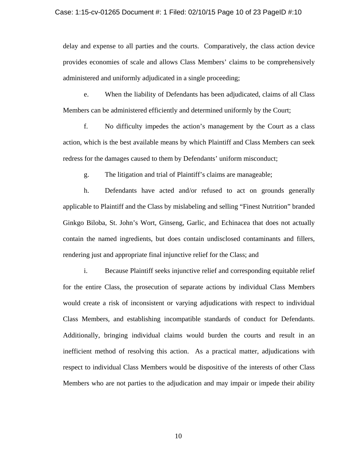### Case: 1:15-cv-01265 Document #: 1 Filed: 02/10/15 Page 10 of 23 PageID #:10

delay and expense to all parties and the courts. Comparatively, the class action device provides economies of scale and allows Class Members' claims to be comprehensively administered and uniformly adjudicated in a single proceeding;

e. When the liability of Defendants has been adjudicated, claims of all Class Members can be administered efficiently and determined uniformly by the Court;

f. No difficulty impedes the action's management by the Court as a class action, which is the best available means by which Plaintiff and Class Members can seek redress for the damages caused to them by Defendants' uniform misconduct;

g. The litigation and trial of Plaintiff's claims are manageable;

h. Defendants have acted and/or refused to act on grounds generally applicable to Plaintiff and the Class by mislabeling and selling "Finest Nutrition" branded Ginkgo Biloba, St. John's Wort, Ginseng, Garlic, and Echinacea that does not actually contain the named ingredients, but does contain undisclosed contaminants and fillers, rendering just and appropriate final injunctive relief for the Class; and

i. Because Plaintiff seeks injunctive relief and corresponding equitable relief for the entire Class, the prosecution of separate actions by individual Class Members would create a risk of inconsistent or varying adjudications with respect to individual Class Members, and establishing incompatible standards of conduct for Defendants. Additionally, bringing individual claims would burden the courts and result in an inefficient method of resolving this action. As a practical matter, adjudications with respect to individual Class Members would be dispositive of the interests of other Class Members who are not parties to the adjudication and may impair or impede their ability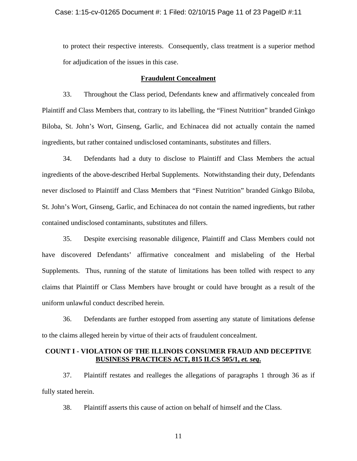### Case: 1:15-cv-01265 Document #: 1 Filed: 02/10/15 Page 11 of 23 PageID #:11

to protect their respective interests. Consequently, class treatment is a superior method for adjudication of the issues in this case.

## **Fraudulent Concealment**

33. Throughout the Class period, Defendants knew and affirmatively concealed from Plaintiff and Class Members that, contrary to its labelling, the "Finest Nutrition" branded Ginkgo Biloba, St. John's Wort, Ginseng, Garlic, and Echinacea did not actually contain the named ingredients, but rather contained undisclosed contaminants, substitutes and fillers.

34. Defendants had a duty to disclose to Plaintiff and Class Members the actual ingredients of the above-described Herbal Supplements. Notwithstanding their duty, Defendants never disclosed to Plaintiff and Class Members that "Finest Nutrition" branded Ginkgo Biloba, St. John's Wort, Ginseng, Garlic, and Echinacea do not contain the named ingredients, but rather contained undisclosed contaminants, substitutes and fillers.

35. Despite exercising reasonable diligence, Plaintiff and Class Members could not have discovered Defendants' affirmative concealment and mislabeling of the Herbal Supplements. Thus, running of the statute of limitations has been tolled with respect to any claims that Plaintiff or Class Members have brought or could have brought as a result of the uniform unlawful conduct described herein.

36. Defendants are further estopped from asserting any statute of limitations defense to the claims alleged herein by virtue of their acts of fraudulent concealment.

## **COUNT I - VIOLATION OF THE ILLINOIS CONSUMER FRAUD AND DECEPTIVE BUSINESS PRACTICES ACT, 815 ILCS 505/1,** *et. seq***.**

37. Plaintiff restates and realleges the allegations of paragraphs 1 through 36 as if fully stated herein.

38. Plaintiff asserts this cause of action on behalf of himself and the Class.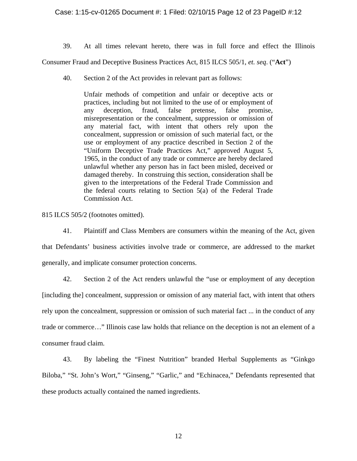## Case: 1:15-cv-01265 Document #: 1 Filed: 02/10/15 Page 12 of 23 PageID #:12

39. At all times relevant hereto, there was in full force and effect the Illinois

Consumer Fraud and Deceptive Business Practices Act, 815 ILCS 505/1, *et. seq*. ("**Act**")

40. Section 2 of the Act provides in relevant part as follows:

Unfair methods of competition and unfair or deceptive acts or practices, including but not limited to the use of or employment of any deception, fraud, false pretense, false promise, misrepresentation or the concealment, suppression or omission of any material fact, with intent that others rely upon the concealment, suppression or omission of such material fact, or the use or employment of any practice described in Section 2 of the "Uniform Deceptive Trade Practices Act," approved August 5, 1965, in the conduct of any trade or commerce are hereby declared unlawful whether any person has in fact been misled, deceived or damaged thereby. In construing this section, consideration shall be given to the interpretations of the Federal Trade Commission and the federal courts relating to Section 5(a) of the Federal Trade Commission Act.

815 ILCS 505/2 (footnotes omitted).

- 41. Plaintiff and Class Members are consumers within the meaning of the Act, given that Defendants' business activities involve trade or commerce, are addressed to the market generally, and implicate consumer protection concerns.
	- 42. Section 2 of the Act renders unlawful the "use or employment of any deception

[including the] concealment, suppression or omission of any material fact, with intent that others rely upon the concealment, suppression or omission of such material fact ... in the conduct of any trade or commerce…" Illinois case law holds that reliance on the deception is not an element of a consumer fraud claim.

43. By labeling the "Finest Nutrition" branded Herbal Supplements as "Ginkgo Biloba," "St. John's Wort," "Ginseng," "Garlic," and "Echinacea," Defendants represented that these products actually contained the named ingredients.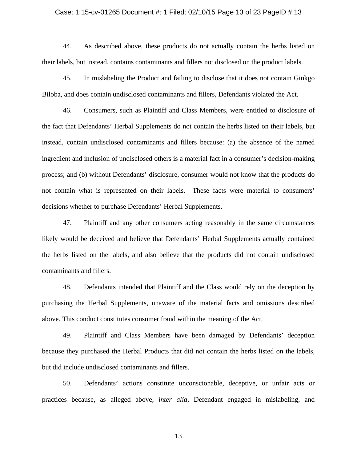#### Case: 1:15-cv-01265 Document #: 1 Filed: 02/10/15 Page 13 of 23 PageID #:13

44. As described above, these products do not actually contain the herbs listed on their labels, but instead, contains contaminants and fillers not disclosed on the product labels.

45. In mislabeling the Product and failing to disclose that it does not contain Ginkgo Biloba, and does contain undisclosed contaminants and fillers, Defendants violated the Act.

46. Consumers, such as Plaintiff and Class Members, were entitled to disclosure of the fact that Defendants' Herbal Supplements do not contain the herbs listed on their labels, but instead, contain undisclosed contaminants and fillers because: (a) the absence of the named ingredient and inclusion of undisclosed others is a material fact in a consumer's decision-making process; and (b) without Defendants' disclosure, consumer would not know that the products do not contain what is represented on their labels. These facts were material to consumers' decisions whether to purchase Defendants' Herbal Supplements.

47. Plaintiff and any other consumers acting reasonably in the same circumstances likely would be deceived and believe that Defendants' Herbal Supplements actually contained the herbs listed on the labels, and also believe that the products did not contain undisclosed contaminants and fillers.

48. Defendants intended that Plaintiff and the Class would rely on the deception by purchasing the Herbal Supplements, unaware of the material facts and omissions described above. This conduct constitutes consumer fraud within the meaning of the Act.

49. Plaintiff and Class Members have been damaged by Defendants' deception because they purchased the Herbal Products that did not contain the herbs listed on the labels, but did include undisclosed contaminants and fillers.

50. Defendants' actions constitute unconscionable, deceptive, or unfair acts or practices because, as alleged above, *inter alia*, Defendant engaged in mislabeling, and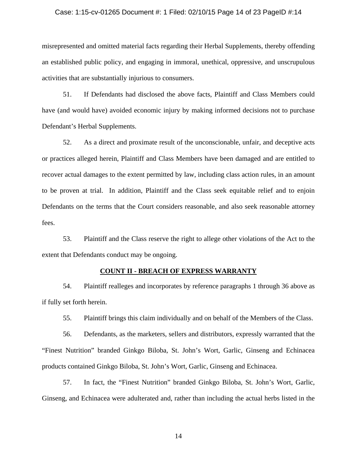### Case: 1:15-cv-01265 Document #: 1 Filed: 02/10/15 Page 14 of 23 PageID #:14

misrepresented and omitted material facts regarding their Herbal Supplements, thereby offending an established public policy, and engaging in immoral, unethical, oppressive, and unscrupulous activities that are substantially injurious to consumers.

51. If Defendants had disclosed the above facts, Plaintiff and Class Members could have (and would have) avoided economic injury by making informed decisions not to purchase Defendant's Herbal Supplements.

52. As a direct and proximate result of the unconscionable, unfair, and deceptive acts or practices alleged herein, Plaintiff and Class Members have been damaged and are entitled to recover actual damages to the extent permitted by law, including class action rules, in an amount to be proven at trial. In addition, Plaintiff and the Class seek equitable relief and to enjoin Defendants on the terms that the Court considers reasonable, and also seek reasonable attorney fees.

53. Plaintiff and the Class reserve the right to allege other violations of the Act to the extent that Defendants conduct may be ongoing.

## **COUNT II - BREACH OF EXPRESS WARRANTY**

54. Plaintiff realleges and incorporates by reference paragraphs 1 through 36 above as if fully set forth herein.

55. Plaintiff brings this claim individually and on behalf of the Members of the Class.

56. Defendants, as the marketers, sellers and distributors, expressly warranted that the "Finest Nutrition" branded Ginkgo Biloba, St. John's Wort, Garlic, Ginseng and Echinacea products contained Ginkgo Biloba, St. John's Wort, Garlic, Ginseng and Echinacea.

57. In fact, the "Finest Nutrition" branded Ginkgo Biloba, St. John's Wort, Garlic, Ginseng, and Echinacea were adulterated and, rather than including the actual herbs listed in the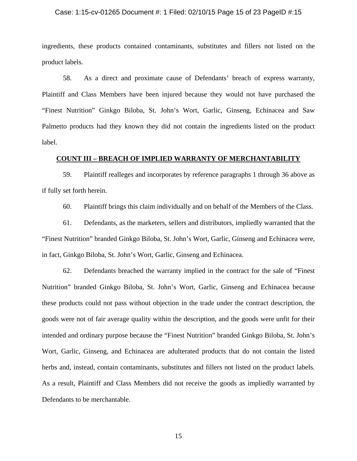#### Case: 1:15-cv-01265 Document #: 1 Filed: 02/10/15 Page 15 of 23 PageID #:15

ingredients, these products contained contaminants, substitutes and fillers not listed on the product labels.

58. As a direct and proximate cause of Defendants' breach of express warranty, Plaintiff and Class Members have been injured because they would not have purchased the "Finest Nutrition" Ginkgo Biloba, St. John's Wort, Garlic, Ginseng, Echinacea and Saw Palmetto products had they known they did not contain the ingredients listed on the product label.

## **COUNT III – BREACH OF IMPLIED WARRANTY OF MERCHANTABILITY**

59. Plaintiff realleges and incorporates by reference paragraphs 1 through 36 above as if fully set forth herein.

60. Plaintiff brings this claim individually and on behalf of the Members of the Class.

61. Defendants, as the marketers, sellers and distributors, impliedly warranted that the "Finest Nutrition" branded Ginkgo Biloba, St. John's Wort, Garlic, Ginseng and Echinacea were, in fact, Ginkgo Biloba, St. John's Wort, Garlic, Ginseng and Echinacea.

62. Defendants breached the warranty implied in the contract for the sale of "Finest Nutrition" branded Ginkgo Biloba, St. John's Wort, Garlic, Ginseng and Echinacea because these products could not pass without objection in the trade under the contract description, the goods were not of fair average quality within the description, and the goods were unfit for their intended and ordinary purpose because the "Finest Nutrition" branded Ginkgo Biloba, St. John's Wort, Garlic, Ginseng, and Echinacea are adulterated products that do not contain the listed herbs and, instead, contain contaminants, substitutes and fillers not listed on the product labels. As a result, Plaintiff and Class Members did not receive the goods as impliedly warranted by Defendants to be merchantable.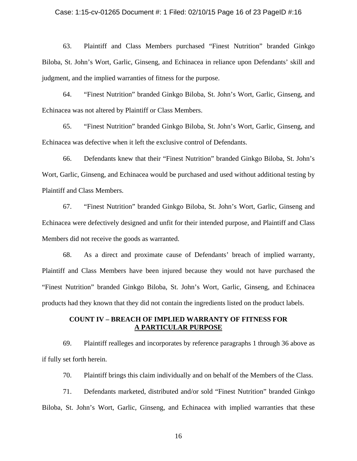#### Case: 1:15-cv-01265 Document #: 1 Filed: 02/10/15 Page 16 of 23 PageID #:16

63. Plaintiff and Class Members purchased "Finest Nutrition" branded Ginkgo Biloba, St. John's Wort, Garlic, Ginseng, and Echinacea in reliance upon Defendants' skill and judgment, and the implied warranties of fitness for the purpose.

64. "Finest Nutrition" branded Ginkgo Biloba, St. John's Wort, Garlic, Ginseng, and Echinacea was not altered by Plaintiff or Class Members.

65. "Finest Nutrition" branded Ginkgo Biloba, St. John's Wort, Garlic, Ginseng, and Echinacea was defective when it left the exclusive control of Defendants.

66. Defendants knew that their "Finest Nutrition" branded Ginkgo Biloba, St. John's Wort, Garlic, Ginseng, and Echinacea would be purchased and used without additional testing by Plaintiff and Class Members.

67. "Finest Nutrition" branded Ginkgo Biloba, St. John's Wort, Garlic, Ginseng and Echinacea were defectively designed and unfit for their intended purpose, and Plaintiff and Class Members did not receive the goods as warranted.

68. As a direct and proximate cause of Defendants' breach of implied warranty, Plaintiff and Class Members have been injured because they would not have purchased the "Finest Nutrition" branded Ginkgo Biloba, St. John's Wort, Garlic, Ginseng, and Echinacea products had they known that they did not contain the ingredients listed on the product labels.

# **COUNT IV – BREACH OF IMPLIED WARRANTY OF FITNESS FOR A PARTICULAR PURPOSE**

69. Plaintiff realleges and incorporates by reference paragraphs 1 through 36 above as if fully set forth herein.

70. Plaintiff brings this claim individually and on behalf of the Members of the Class.

71. Defendants marketed, distributed and/or sold "Finest Nutrition" branded Ginkgo Biloba, St. John's Wort, Garlic, Ginseng, and Echinacea with implied warranties that these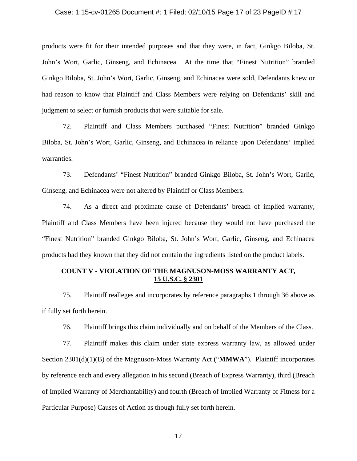#### Case: 1:15-cv-01265 Document #: 1 Filed: 02/10/15 Page 17 of 23 PageID #:17

products were fit for their intended purposes and that they were, in fact, Ginkgo Biloba, St. John's Wort, Garlic, Ginseng, and Echinacea. At the time that "Finest Nutrition" branded Ginkgo Biloba, St. John's Wort, Garlic, Ginseng, and Echinacea were sold, Defendants knew or had reason to know that Plaintiff and Class Members were relying on Defendants' skill and judgment to select or furnish products that were suitable for sale.

72. Plaintiff and Class Members purchased "Finest Nutrition" branded Ginkgo Biloba, St. John's Wort, Garlic, Ginseng, and Echinacea in reliance upon Defendants' implied warranties.

73. Defendants' "Finest Nutrition" branded Ginkgo Biloba, St. John's Wort, Garlic, Ginseng, and Echinacea were not altered by Plaintiff or Class Members.

74. As a direct and proximate cause of Defendants' breach of implied warranty, Plaintiff and Class Members have been injured because they would not have purchased the "Finest Nutrition" branded Ginkgo Biloba, St. John's Wort, Garlic, Ginseng, and Echinacea products had they known that they did not contain the ingredients listed on the product labels.

# **COUNT V - VIOLATION OF THE MAGNUSON-MOSS WARRANTY ACT, 15 U.S.C. § 2301**

75. Plaintiff realleges and incorporates by reference paragraphs 1 through 36 above as if fully set forth herein.

76. Plaintiff brings this claim individually and on behalf of the Members of the Class.

77. Plaintiff makes this claim under state express warranty law, as allowed under Section 2301(d)(1)(B) of the Magnuson-Moss Warranty Act ("**MMWA**"). Plaintiff incorporates by reference each and every allegation in his second (Breach of Express Warranty), third (Breach of Implied Warranty of Merchantability) and fourth (Breach of Implied Warranty of Fitness for a Particular Purpose) Causes of Action as though fully set forth herein.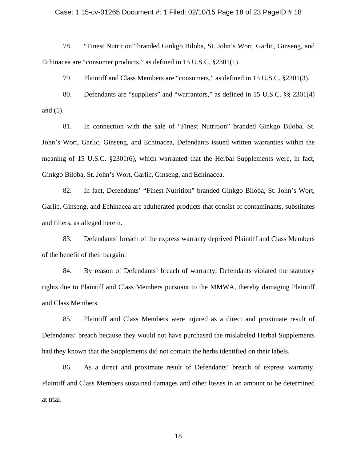#### Case: 1:15-cv-01265 Document #: 1 Filed: 02/10/15 Page 18 of 23 PageID #:18

78. "Finest Nutrition" branded Ginkgo Biloba, St. John's Wort, Garlic, Ginseng, and Echinacea are "consumer products," as defined in 15 U.S.C. §2301(1).

79. Plaintiff and Class Members are "consumers," as defined in 15 U.S.C. §2301(3).

80. Defendants are "suppliers" and "warrantors," as defined in 15 U.S.C. §§ 2301(4) and (5).

81. In connection with the sale of "Finest Nutrition" branded Ginkgo Biloba, St. John's Wort, Garlic, Ginseng, and Echinacea, Defendants issued written warranties within the meaning of 15 U.S.C. §2301(6), which warranted that the Herbal Supplements were, in fact, Ginkgo Biloba, St. John's Wort, Garlic, Ginseng, and Echinacea.

82. In fact, Defendants' "Finest Nutrition" branded Ginkgo Biloba, St. John's Wort, Garlic, Ginseng, and Echinacea are adulterated products that consist of contaminants, substitutes and fillers, as alleged herein.

83. Defendants' breach of the express warranty deprived Plaintiff and Class Members of the benefit of their bargain.

84. By reason of Defendants' breach of warranty, Defendants violated the statutory rights due to Plaintiff and Class Members pursuant to the MMWA, thereby damaging Plaintiff and Class Members.

85. Plaintiff and Class Members were injured as a direct and proximate result of Defendants' breach because they would not have purchased the mislabeled Herbal Supplements had they known that the Supplements did not contain the herbs identified on their labels.

86. As a direct and proximate result of Defendants' breach of express warranty, Plaintiff and Class Members sustained damages and other losses in an amount to be determined at trial.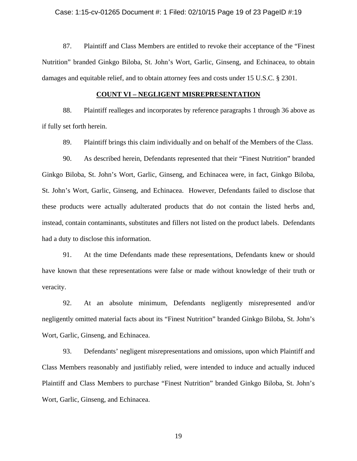#### Case: 1:15-cv-01265 Document #: 1 Filed: 02/10/15 Page 19 of 23 PageID #:19

87. Plaintiff and Class Members are entitled to revoke their acceptance of the "Finest Nutrition" branded Ginkgo Biloba, St. John's Wort, Garlic, Ginseng, and Echinacea, to obtain damages and equitable relief, and to obtain attorney fees and costs under 15 U.S.C. § 2301.

## **COUNT VI – NEGLIGENT MISREPRESENTATION**

88. Plaintiff realleges and incorporates by reference paragraphs 1 through 36 above as if fully set forth herein.

89. Plaintiff brings this claim individually and on behalf of the Members of the Class.

90. As described herein, Defendants represented that their "Finest Nutrition" branded Ginkgo Biloba, St. John's Wort, Garlic, Ginseng, and Echinacea were, in fact, Ginkgo Biloba, St. John's Wort, Garlic, Ginseng, and Echinacea. However, Defendants failed to disclose that these products were actually adulterated products that do not contain the listed herbs and, instead, contain contaminants, substitutes and fillers not listed on the product labels. Defendants had a duty to disclose this information.

91. At the time Defendants made these representations, Defendants knew or should have known that these representations were false or made without knowledge of their truth or veracity.

92. At an absolute minimum, Defendants negligently misrepresented and/or negligently omitted material facts about its "Finest Nutrition" branded Ginkgo Biloba, St. John's Wort, Garlic, Ginseng, and Echinacea.

93. Defendants' negligent misrepresentations and omissions, upon which Plaintiff and Class Members reasonably and justifiably relied, were intended to induce and actually induced Plaintiff and Class Members to purchase "Finest Nutrition" branded Ginkgo Biloba, St. John's Wort, Garlic, Ginseng, and Echinacea.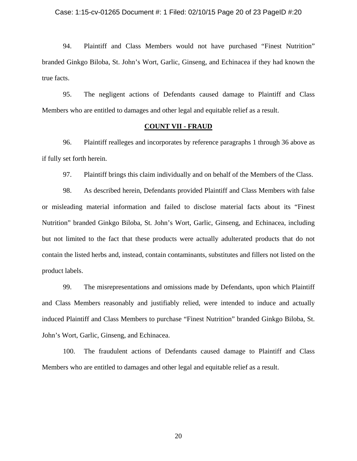#### Case: 1:15-cv-01265 Document #: 1 Filed: 02/10/15 Page 20 of 23 PageID #:20

94. Plaintiff and Class Members would not have purchased "Finest Nutrition" branded Ginkgo Biloba, St. John's Wort, Garlic, Ginseng, and Echinacea if they had known the true facts.

95. The negligent actions of Defendants caused damage to Plaintiff and Class Members who are entitled to damages and other legal and equitable relief as a result.

## **COUNT VII - FRAUD**

96. Plaintiff realleges and incorporates by reference paragraphs 1 through 36 above as if fully set forth herein.

97. Plaintiff brings this claim individually and on behalf of the Members of the Class.

98. As described herein, Defendants provided Plaintiff and Class Members with false or misleading material information and failed to disclose material facts about its "Finest Nutrition" branded Ginkgo Biloba, St. John's Wort, Garlic, Ginseng, and Echinacea, including but not limited to the fact that these products were actually adulterated products that do not contain the listed herbs and, instead, contain contaminants, substitutes and fillers not listed on the product labels.

99. The misrepresentations and omissions made by Defendants, upon which Plaintiff and Class Members reasonably and justifiably relied, were intended to induce and actually induced Plaintiff and Class Members to purchase "Finest Nutrition" branded Ginkgo Biloba, St. John's Wort, Garlic, Ginseng, and Echinacea.

100. The fraudulent actions of Defendants caused damage to Plaintiff and Class Members who are entitled to damages and other legal and equitable relief as a result.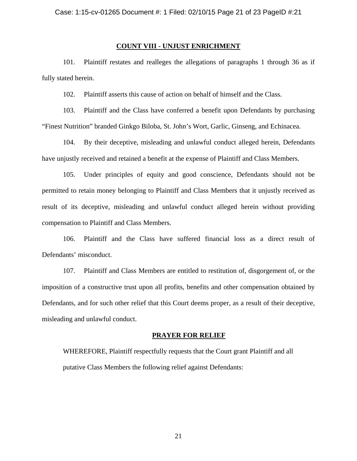## **COUNT VIII - UNJUST ENRICHMENT**

101. Plaintiff restates and realleges the allegations of paragraphs 1 through 36 as if fully stated herein.

102. Plaintiff asserts this cause of action on behalf of himself and the Class.

103. Plaintiff and the Class have conferred a benefit upon Defendants by purchasing "Finest Nutrition" branded Ginkgo Biloba, St. John's Wort, Garlic, Ginseng, and Echinacea.

104. By their deceptive, misleading and unlawful conduct alleged herein, Defendants have unjustly received and retained a benefit at the expense of Plaintiff and Class Members.

105. Under principles of equity and good conscience, Defendants should not be permitted to retain money belonging to Plaintiff and Class Members that it unjustly received as result of its deceptive, misleading and unlawful conduct alleged herein without providing compensation to Plaintiff and Class Members.

106. Plaintiff and the Class have suffered financial loss as a direct result of Defendants' misconduct.

107. Plaintiff and Class Members are entitled to restitution of, disgorgement of, or the imposition of a constructive trust upon all profits, benefits and other compensation obtained by Defendants, and for such other relief that this Court deems proper, as a result of their deceptive, misleading and unlawful conduct.

#### **PRAYER FOR RELIEF**

WHEREFORE, Plaintiff respectfully requests that the Court grant Plaintiff and all putative Class Members the following relief against Defendants: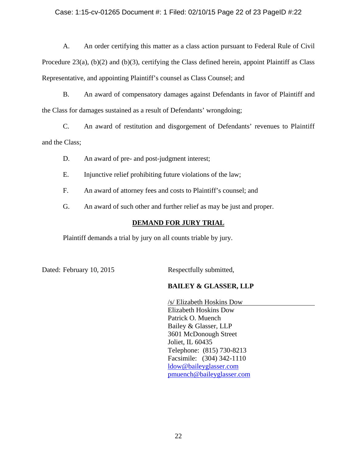## Case: 1:15-cv-01265 Document #: 1 Filed: 02/10/15 Page 22 of 23 PageID #:22

A. An order certifying this matter as a class action pursuant to Federal Rule of Civil Procedure  $23(a)$ ,  $(b)(2)$  and  $(b)(3)$ , certifying the Class defined herein, appoint Plaintiff as Class Representative, and appointing Plaintiff's counsel as Class Counsel; and

B. An award of compensatory damages against Defendants in favor of Plaintiff and the Class for damages sustained as a result of Defendants' wrongdoing;

C. An award of restitution and disgorgement of Defendants' revenues to Plaintiff and the Class;

D. An award of pre- and post-judgment interest;

E. Injunctive relief prohibiting future violations of the law;

F. An award of attorney fees and costs to Plaintiff's counsel; and

G. An award of such other and further relief as may be just and proper.

# **DEMAND FOR JURY TRIAL**

Plaintiff demands a trial by jury on all counts triable by jury.

Dated: February 10, 2015 Respectfully submitted,

# **BAILEY & GLASSER, LLP**

 /s/ Elizabeth Hoskins Dow Elizabeth Hoskins Dow Patrick O. Muench Bailey & Glasser, LLP 3601 McDonough Street Joliet, IL 60435 Telephone: (815) 730-8213 Facsimile: (304) 342-1110 ldow@baileyglasser.com pmuench@baileyglasser.com